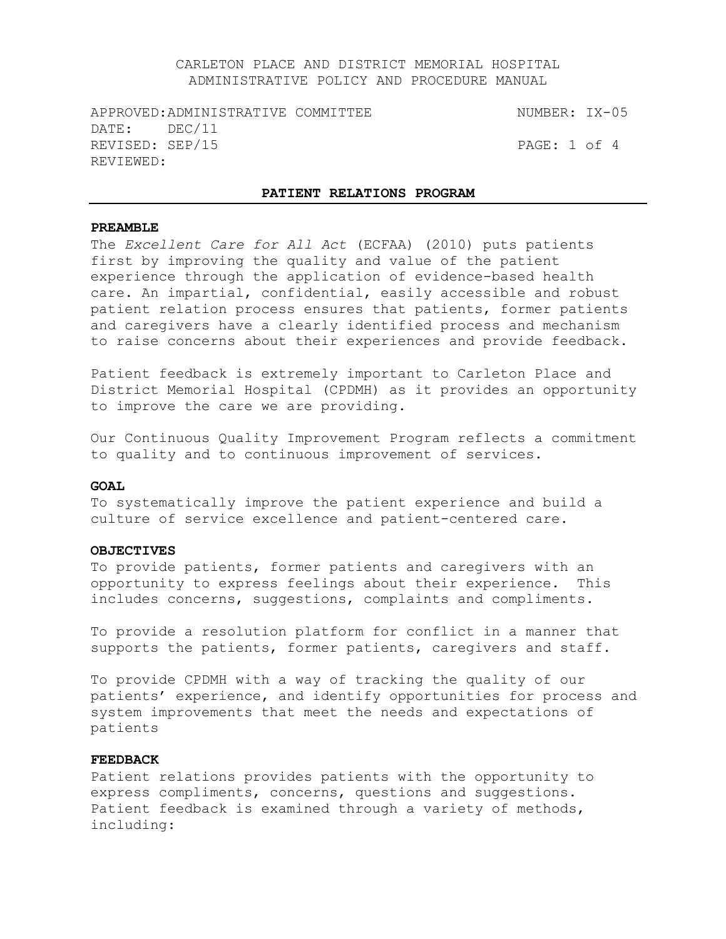APPROVED:ADMINISTRATIVE COMMITTEE NUMBER: IX-05 DATE: DEC/11 REVISED: SEP/15 PAGE: 1 of 4 REVIEWED:

#### **PATIENT RELATIONS PROGRAM**

#### **PREAMBLE**

The *Excellent Care for All Act* (ECFAA) (2010) puts patients first by improving the quality and value of the patient experience through the application of evidence-based health care. An impartial, confidential, easily accessible and robust patient relation process ensures that patients, former patients and caregivers have a clearly identified process and mechanism to raise concerns about their experiences and provide feedback.

Patient feedback is extremely important to Carleton Place and District Memorial Hospital (CPDMH) as it provides an opportunity to improve the care we are providing.

Our Continuous Quality Improvement Program reflects a commitment to quality and to continuous improvement of services.

#### GOAT.

To systematically improve the patient experience and build a culture of service excellence and patient-centered care.

#### **OBJECTIVES**

To provide patients, former patients and caregivers with an opportunity to express feelings about their experience. This includes concerns, suggestions, complaints and compliments.

To provide a resolution platform for conflict in a manner that supports the patients, former patients, caregivers and staff.

To provide CPDMH with a way of tracking the quality of our patients' experience, and identify opportunities for process and system improvements that meet the needs and expectations of patients

### **FEEDBACK**

Patient relations provides patients with the opportunity to express compliments, concerns, questions and suggestions. Patient feedback is examined through a variety of methods, including: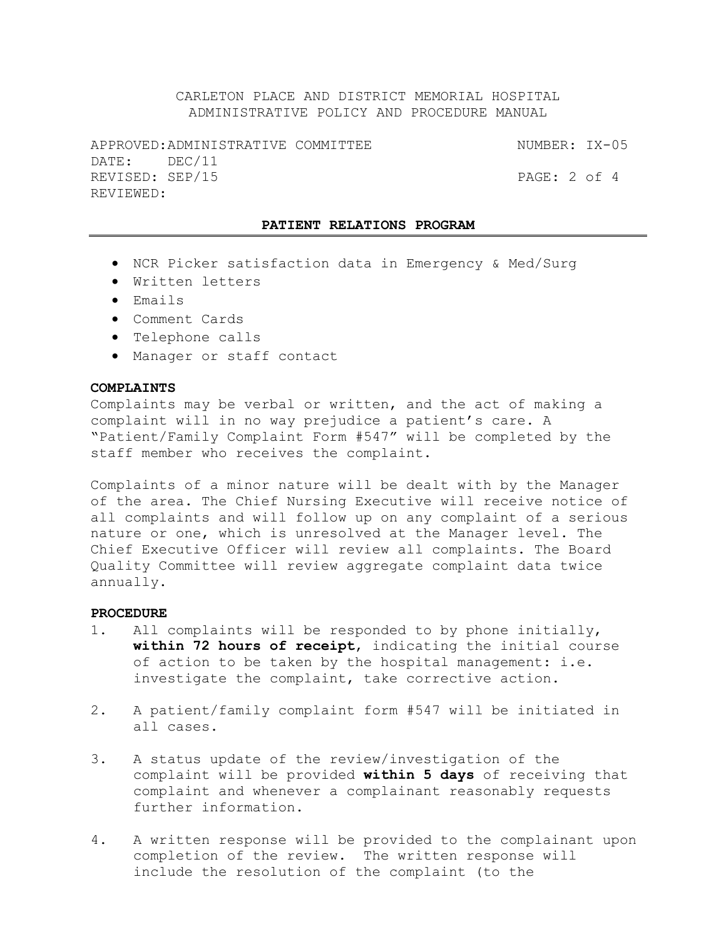APPROVED:ADMINISTRATIVE COMMITTEE NUMBER: IX-05 DATE: DEC/11 REVISED: SEP/15 PAGE: 2 of 4 REVIEWED:

#### **PATIENT RELATIONS PROGRAM**

- NCR Picker satisfaction data in Emergency & Med/Surg
- Written letters
- Emails
- Comment Cards
- Telephone calls
- Manager or staff contact

### **COMPLAINTS**

Complaints may be verbal or written, and the act of making a complaint will in no way prejudice a patient's care. A "Patient/Family Complaint Form #547" will be completed by the staff member who receives the complaint.

Complaints of a minor nature will be dealt with by the Manager of the area. The Chief Nursing Executive will receive notice of all complaints and will follow up on any complaint of a serious nature or one, which is unresolved at the Manager level. The Chief Executive Officer will review all complaints. The Board Quality Committee will review aggregate complaint data twice annually.

### **PROCEDURE**

- 1. All complaints will be responded to by phone initially, **within 72 hours of receipt**, indicating the initial course of action to be taken by the hospital management: i.e. investigate the complaint, take corrective action.
- 2. A patient/family complaint form #547 will be initiated in all cases.
- 3. A status update of the review/investigation of the complaint will be provided **within 5 days** of receiving that complaint and whenever a complainant reasonably requests further information.
- 4. A written response will be provided to the complainant upon completion of the review. The written response will include the resolution of the complaint (to the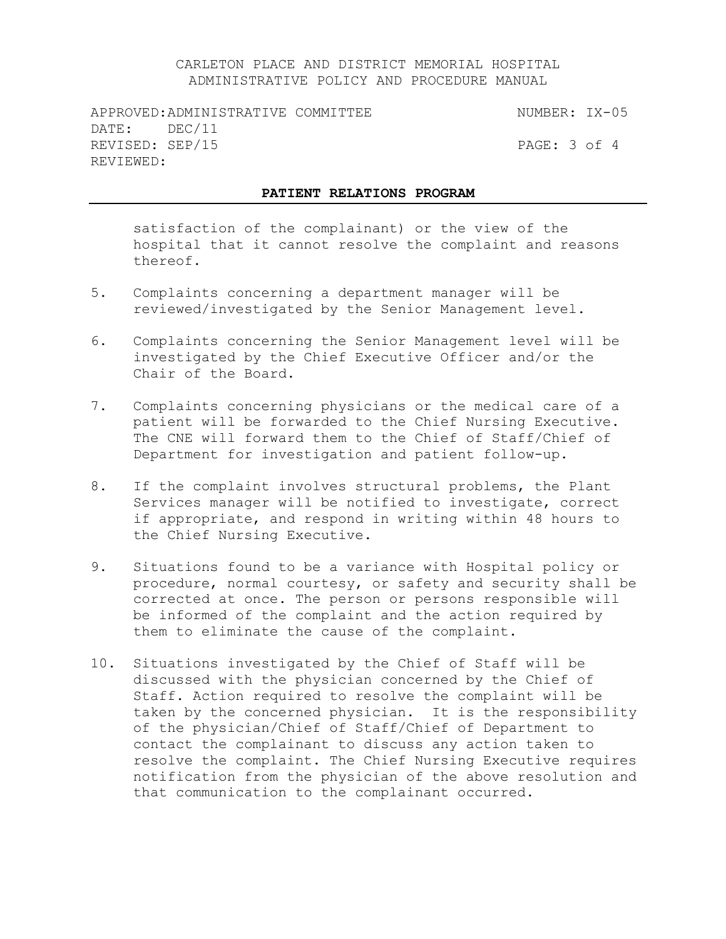APPROVED:ADMINISTRATIVE COMMITTEE NUMBER: IX-05 DATE: DEC/11 REVISED: SEP/15 PAGE: 3 of 4 REVIEWED:

#### **PATIENT RELATIONS PROGRAM**

satisfaction of the complainant) or the view of the hospital that it cannot resolve the complaint and reasons thereof.

- 5. Complaints concerning a department manager will be reviewed/investigated by the Senior Management level.
- 6. Complaints concerning the Senior Management level will be investigated by the Chief Executive Officer and/or the Chair of the Board.
- 7. Complaints concerning physicians or the medical care of a patient will be forwarded to the Chief Nursing Executive. The CNE will forward them to the Chief of Staff/Chief of Department for investigation and patient follow-up.
- 8. If the complaint involves structural problems, the Plant Services manager will be notified to investigate, correct if appropriate, and respond in writing within 48 hours to the Chief Nursing Executive.
- 9. Situations found to be a variance with Hospital policy or procedure, normal courtesy, or safety and security shall be corrected at once. The person or persons responsible will be informed of the complaint and the action required by them to eliminate the cause of the complaint.
- 10. Situations investigated by the Chief of Staff will be discussed with the physician concerned by the Chief of Staff. Action required to resolve the complaint will be taken by the concerned physician. It is the responsibility of the physician/Chief of Staff/Chief of Department to contact the complainant to discuss any action taken to resolve the complaint. The Chief Nursing Executive requires notification from the physician of the above resolution and that communication to the complainant occurred.